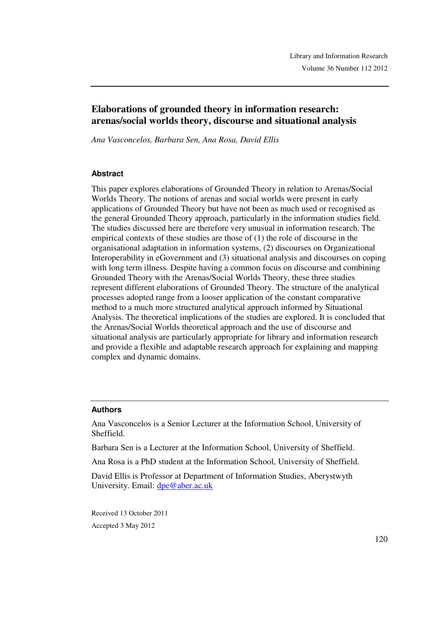# **Elaborations of grounded theory in information research: arenas/social worlds theory, discourse and situational analysis**

*Ana Vasconcelos, Barbara Sen, Ana Rosa, David Ellis*

### **Abstract**

This paper explores elaborations of Grounded Theory in relation to Arenas/Social Worlds Theory. The notions of arenas and social worlds were present in early applications of Grounded Theory but have not been as much used or recognised as the general Grounded Theory approach, particularly in the information studies field. The studies discussed here are therefore very unusual in information research. The empirical contexts of these studies are those of (1) the role of discourse in the organisational adaptation in information systems, (2) discourses on Organizational Interoperability in eGovernment and (3) situational analysis and discourses on coping with long term illness. Despite having a common focus on discourse and combining Grounded Theory with the Arenas/Social Worlds Theory, these three studies represent different elaborations of Grounded Theory. The structure of the analytical processes adopted range from a looser application of the constant comparative method to a much more structured analytical approach informed by Situational Analysis. The theoretical implications of the studies are explored. It is concluded that the Arenas/Social Worlds theoretical approach and the use of discourse and situational analysis are particularly appropriate for library and information research and provide a flexible and adaptable research approach for explaining and mapping complex and dynamic domains.

#### **Authors**

Ana Vasconcelos is a Senior Lecturer at the Information School, University of Sheffield.

Barbara Sen is a Lecturer at the Information School, University of Sheffield.

Ana Rosa is a PhD student at the Information School, University of Sheffield.

David Ellis is Professor at Department of Information Studies, Aberystwyth University. Email: dpe@aber.ac.uk

Received 13 October 2011 Accepted 3 May 2012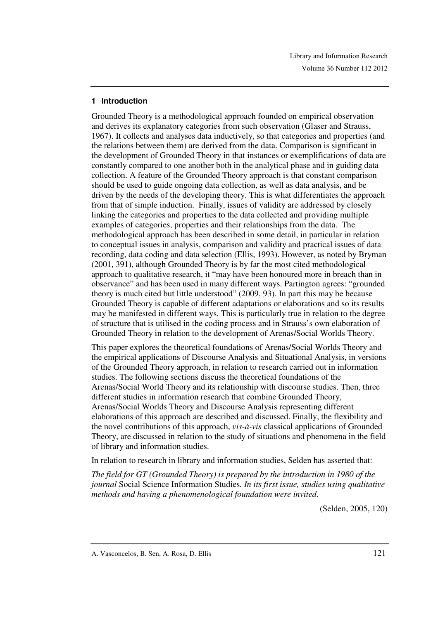#### **1 Introduction**

Grounded Theory is a methodological approach founded on empirical observation and derives its explanatory categories from such observation (Glaser and Strauss, 1967). It collects and analyses data inductively, so that categories and properties (and the relations between them) are derived from the data. Comparison is significant in the development of Grounded Theory in that instances or exemplifications of data are constantly compared to one another both in the analytical phase and in guiding data collection. A feature of the Grounded Theory approach is that constant comparison should be used to guide ongoing data collection, as well as data analysis, and be driven by the needs of the developing theory. This is what differentiates the approach from that of simple induction. Finally, issues of validity are addressed by closely linking the categories and properties to the data collected and providing multiple examples of categories, properties and their relationships from the data. The methodological approach has been described in some detail, in particular in relation to conceptual issues in analysis, comparison and validity and practical issues of data recording, data coding and data selection (Ellis, 1993). However, as noted by Bryman (2001, 391), although Grounded Theory is by far the most cited methodological approach to qualitative research, it "may have been honoured more in breach than in observance" and has been used in many different ways. Partington agrees: "grounded theory is much cited but little understood" (2009, 93). In part this may be because Grounded Theory is capable of different adaptations or elaborations and so its results may be manifested in different ways. This is particularly true in relation to the degree of structure that is utilised in the coding process and in Strauss's own elaboration of Grounded Theory in relation to the development of Arenas/Social Worlds Theory.

This paper explores the theoretical foundations of Arenas/Social Worlds Theory and the empirical applications of Discourse Analysis and Situational Analysis, in versions of the Grounded Theory approach, in relation to research carried out in information studies. The following sections discuss the theoretical foundations of the Arenas/Social World Theory and its relationship with discourse studies. Then, three different studies in information research that combine Grounded Theory, Arenas/Social Worlds Theory and Discourse Analysis representing different elaborations of this approach are described and discussed. Finally, the flexibility and the novel contributions of this approach, *vis-à-vis* classical applications of Grounded Theory, are discussed in relation to the study of situations and phenomena in the field of library and information studies.

In relation to research in library and information studies, Selden has asserted that:

*The field for GT (Grounded Theory) is prepared by the introduction in 1980 of the journal* Social Science Information Studies*. In its first issue, studies using qualitative methods and having a phenomenological foundation were invited*.

(Selden, 2005, 120)

A. Vasconcelos, B. Sen, A. Rosa, D. Ellis 121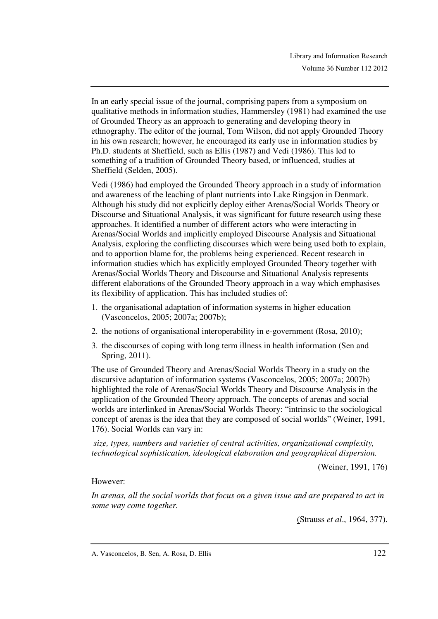In an early special issue of the journal, comprising papers from a symposium on qualitative methods in information studies, Hammersley (1981) had examined the use of Grounded Theory as an approach to generating and developing theory in ethnography. The editor of the journal, Tom Wilson, did not apply Grounded Theory in his own research; however, he encouraged its early use in information studies by Ph.D. students at Sheffield, such as Ellis (1987) and Vedi (1986). This led to something of a tradition of Grounded Theory based, or influenced, studies at Sheffield (Selden, 2005).

Vedi (1986) had employed the Grounded Theory approach in a study of information and awareness of the leaching of plant nutrients into Lake Ringsjon in Denmark. Although his study did not explicitly deploy either Arenas/Social Worlds Theory or Discourse and Situational Analysis, it was significant for future research using these approaches. It identified a number of different actors who were interacting in Arenas/Social Worlds and implicitly employed Discourse Analysis and Situational Analysis, exploring the conflicting discourses which were being used both to explain, and to apportion blame for, the problems being experienced. Recent research in information studies which has explicitly employed Grounded Theory together with Arenas/Social Worlds Theory and Discourse and Situational Analysis represents different elaborations of the Grounded Theory approach in a way which emphasises its flexibility of application. This has included studies of:

- 1. the organisational adaptation of information systems in higher education (Vasconcelos, 2005; 2007a; 2007b);
- 2. the notions of organisational interoperability in e-government (Rosa, 2010);
- 3. the discourses of coping with long term illness in health information (Sen and Spring, 2011).

The use of Grounded Theory and Arenas/Social Worlds Theory in a study on the discursive adaptation of information systems (Vasconcelos, 2005; 2007a; 2007b) highlighted the role of Arenas/Social Worlds Theory and Discourse Analysis in the application of the Grounded Theory approach. The concepts of arenas and social worlds are interlinked in Arenas/Social Worlds Theory: "intrinsic to the sociological concept of arenas is the idea that they are composed of social worlds" (Weiner, 1991, 176). Social Worlds can vary in:

*size, types, numbers and varieties of central activities, organizational complexity, technological sophistication, ideological elaboration and geographical dispersion.*

(Weiner, 1991, 176)

### However:

*In arenas, all the social worlds that focus on a given issue and are prepared to act in some way come together.* 

(Strauss *et al*., 1964, 377).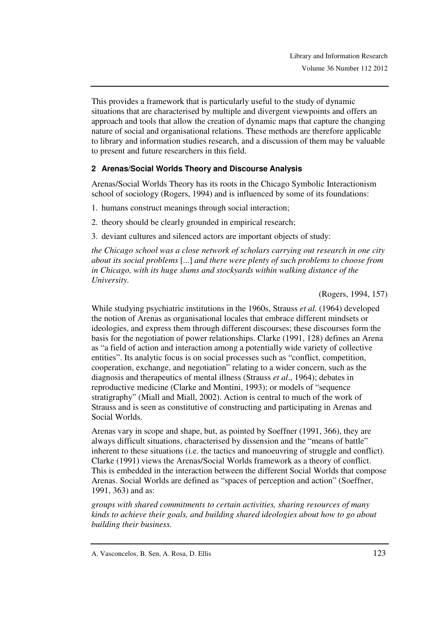This provides a framework that is particularly useful to the study of dynamic situations that are characterised by multiple and divergent viewpoints and offers an approach and tools that allow the creation of dynamic maps that capture the changing nature of social and organisational relations. These methods are therefore applicable to library and information studies research, and a discussion of them may be valuable to present and future researchers in this field.

## **2 Arenas/Social Worlds Theory and Discourse Analysis**

Arenas/Social Worlds Theory has its roots in the Chicago Symbolic Interactionism school of sociology (Rogers, 1994) and is influenced by some of its foundations:

1. humans construct meanings through social interaction;

2. theory should be clearly grounded in empirical research;

3. deviant cultures and silenced actors are important objects of study:

*the Chicago school was a close network of scholars carrying out research in one city about its social problems* [...] *and there were plenty of such problems to choose from in Chicago, with its huge slums and stockyards within walking distance of the University.* 

(Rogers, 1994, 157)

While studying psychiatric institutions in the 1960s, Strauss *et al.* (1964) developed the notion of Arenas as organisational locales that embrace different mindsets or ideologies, and express them through different discourses; these discourses form the basis for the negotiation of power relationships. Clarke (1991, 128) defines an Arena as "a field of action and interaction among a potentially wide variety of collective entities". Its analytic focus is on social processes such as "conflict, competition, cooperation, exchange, and negotiation" relating to a wider concern, such as the diagnosis and therapeutics of mental illness (Strauss *et al*., 1964); debates in reproductive medicine (Clarke and Montini, 1993); or models of "sequence stratigraphy" (Miall and Miall, 2002). Action is central to much of the work of Strauss and is seen as constitutive of constructing and participating in Arenas and Social Worlds.

Arenas vary in scope and shape, but, as pointed by Soeffner (1991, 366), they are always difficult situations, characterised by dissension and the "means of battle" inherent to these situations (i.e. the tactics and manoeuvring of struggle and conflict). Clarke (1991) views the Arenas/Social Worlds framework as a theory of conflict. This is embedded in the interaction between the different Social Worlds that compose Arenas. Social Worlds are defined as "spaces of perception and action" (Soeffner, 1991, 363) and as:

*groups with shared commitments to certain activities, sharing resources of many kinds to achieve their goals, and building shared ideologies about how to go about building their business.* 

A. Vasconcelos, B. Sen, A. Rosa, D. Ellis 123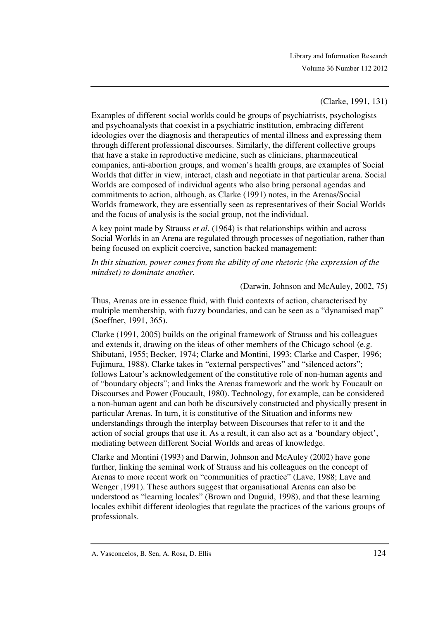(Clarke, 1991, 131)

Examples of different social worlds could be groups of psychiatrists, psychologists and psychoanalysts that coexist in a psychiatric institution, embracing different ideologies over the diagnosis and therapeutics of mental illness and expressing them through different professional discourses. Similarly, the different collective groups that have a stake in reproductive medicine, such as clinicians, pharmaceutical companies, anti-abortion groups, and women's health groups, are examples of Social Worlds that differ in view, interact, clash and negotiate in that particular arena. Social Worlds are composed of individual agents who also bring personal agendas and commitments to action, although, as Clarke (1991) notes, in the Arenas/Social Worlds framework, they are essentially seen as representatives of their Social Worlds and the focus of analysis is the social group, not the individual.

A key point made by Strauss *et al.* (1964) is that relationships within and across Social Worlds in an Arena are regulated through processes of negotiation, rather than being focused on explicit coercive, sanction backed management:

*In this situation, power comes from the ability of one rhetoric (the expression of the mindset) to dominate another.* 

(Darwin, Johnson and McAuley, 2002, 75)

Thus, Arenas are in essence fluid, with fluid contexts of action, characterised by multiple membership, with fuzzy boundaries, and can be seen as a "dynamised map" (Soeffner, 1991, 365).

Clarke (1991, 2005) builds on the original framework of Strauss and his colleagues and extends it, drawing on the ideas of other members of the Chicago school (e.g. Shibutani, 1955; Becker, 1974; Clarke and Montini, 1993; Clarke and Casper, 1996; Fujimura, 1988). Clarke takes in "external perspectives" and "silenced actors"; follows Latour's acknowledgement of the constitutive role of non-human agents and of "boundary objects"; and links the Arenas framework and the work by Foucault on Discourses and Power (Foucault, 1980). Technology, for example, can be considered a non-human agent and can both be discursively constructed and physically present in particular Arenas. In turn, it is constitutive of the Situation and informs new understandings through the interplay between Discourses that refer to it and the action of social groups that use it. As a result, it can also act as a 'boundary object', mediating between different Social Worlds and areas of knowledge.

Clarke and Montini (1993) and Darwin, Johnson and McAuley (2002) have gone further, linking the seminal work of Strauss and his colleagues on the concept of Arenas to more recent work on "communities of practice" (Lave, 1988; Lave and Wenger ,1991). These authors suggest that organisational Arenas can also be understood as "learning locales" (Brown and Duguid, 1998), and that these learning locales exhibit different ideologies that regulate the practices of the various groups of professionals.

A. Vasconcelos, B. Sen, A. Rosa, D. Ellis 124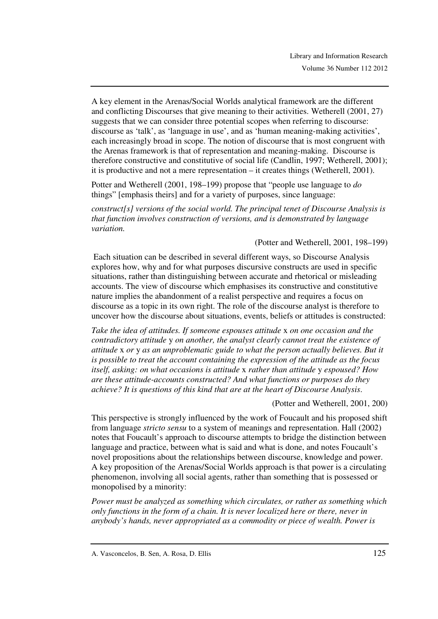A key element in the Arenas/Social Worlds analytical framework are the different and conflicting Discourses that give meaning to their activities. Wetherell (2001, 27) suggests that we can consider three potential scopes when referring to discourse: discourse as 'talk', as 'language in use', and as 'human meaning-making activities', each increasingly broad in scope. The notion of discourse that is most congruent with the Arenas framework is that of representation and meaning-making. Discourse is therefore constructive and constitutive of social life (Candlin, 1997; Wetherell, 2001); it is productive and not a mere representation – it creates things (Wetherell, 2001).

Potter and Wetherell (2001, 198–199) propose that "people use language to *do* things" [emphasis theirs] and for a variety of purposes, since language:

*construct[s] versions of the social world. The principal tenet of Discourse Analysis is that function involves construction of versions, and is demonstrated by language variation.* 

#### (Potter and Wetherell, 2001, 198–199)

 Each situation can be described in several different ways, so Discourse Analysis explores how, why and for what purposes discursive constructs are used in specific situations, rather than distinguishing between accurate and rhetorical or misleading accounts. The view of discourse which emphasises its constructive and constitutive nature implies the abandonment of a realist perspective and requires a focus on discourse as a topic in its own right. The role of the discourse analyst is therefore to uncover how the discourse about situations, events, beliefs or attitudes is constructed:

*Take the idea of attitudes. If someone espouses attitude* x *on one occasion and the contradictory attitude* y *on another, the analyst clearly cannot treat the existence of attitude* x *or* y *as an unproblematic guide to what the person actually believes. But it is possible to treat the account containing the expression of the attitude as the focus itself, asking: on what occasions is attitude* x *rather than attitude* y *espoused? How are these attitude-accounts constructed? And what functions or purposes do they achieve? It is questions of this kind that are at the heart of Discourse Analysis*.

(Potter and Wetherell, 2001, 200)

This perspective is strongly influenced by the work of Foucault and his proposed shift from language *stricto sensu* to a system of meanings and representation. Hall (2002) notes that Foucault's approach to discourse attempts to bridge the distinction between language and practice, between what is said and what is done, and notes Foucault's novel propositions about the relationships between discourse, knowledge and power. A key proposition of the Arenas/Social Worlds approach is that power is a circulating phenomenon, involving all social agents, rather than something that is possessed or monopolised by a minority:

*Power must be analyzed as something which circulates, or rather as something which only functions in the form of a chain. It is never localized here or there, never in anybody's hands, never appropriated as a commodity or piece of wealth. Power is* 

A. Vasconcelos, B. Sen, A. Rosa, D. Ellis 125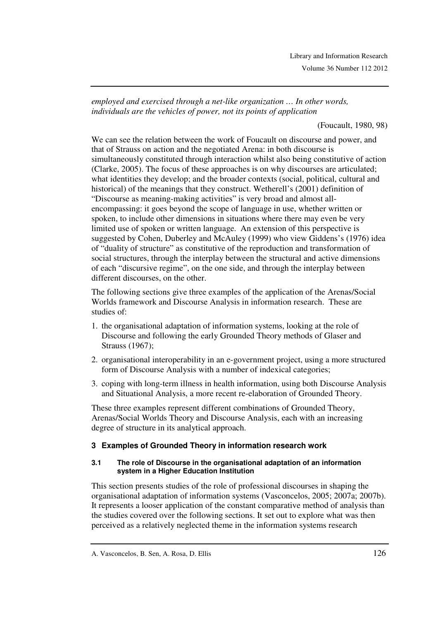*employed and exercised through a net-like organization … In other words, individuals are the vehicles of power, not its points of application* 

(Foucault, 1980, 98)

We can see the relation between the work of Foucault on discourse and power, and that of Strauss on action and the negotiated Arena: in both discourse is simultaneously constituted through interaction whilst also being constitutive of action (Clarke, 2005). The focus of these approaches is on why discourses are articulated; what identities they develop; and the broader contexts (social, political, cultural and historical) of the meanings that they construct. Wetherell's (2001) definition of "Discourse as meaning-making activities" is very broad and almost allencompassing: it goes beyond the scope of language in use, whether written or spoken, to include other dimensions in situations where there may even be very limited use of spoken or written language. An extension of this perspective is suggested by Cohen, Duberley and McAuley (1999) who view Giddens's (1976) idea of "duality of structure" as constitutive of the reproduction and transformation of social structures, through the interplay between the structural and active dimensions of each "discursive regime", on the one side, and through the interplay between different discourses, on the other.

The following sections give three examples of the application of the Arenas/Social Worlds framework and Discourse Analysis in information research. These are studies of:

- 1. the organisational adaptation of information systems, looking at the role of Discourse and following the early Grounded Theory methods of Glaser and Strauss (1967);
- 2. organisational interoperability in an e-government project, using a more structured form of Discourse Analysis with a number of indexical categories;
- 3. coping with long-term illness in health information, using both Discourse Analysis and Situational Analysis, a more recent re-elaboration of Grounded Theory.

These three examples represent different combinations of Grounded Theory, Arenas/Social Worlds Theory and Discourse Analysis, each with an increasing degree of structure in its analytical approach.

## **3 Examples of Grounded Theory in information research work**

#### **3.1 The role of Discourse in the organisational adaptation of an information system in a Higher Education Institution**

This section presents studies of the role of professional discourses in shaping the organisational adaptation of information systems (Vasconcelos, 2005; 2007a; 2007b). It represents a looser application of the constant comparative method of analysis than the studies covered over the following sections. It set out to explore what was then perceived as a relatively neglected theme in the information systems research

A. Vasconcelos, B. Sen, A. Rosa, D. Ellis 126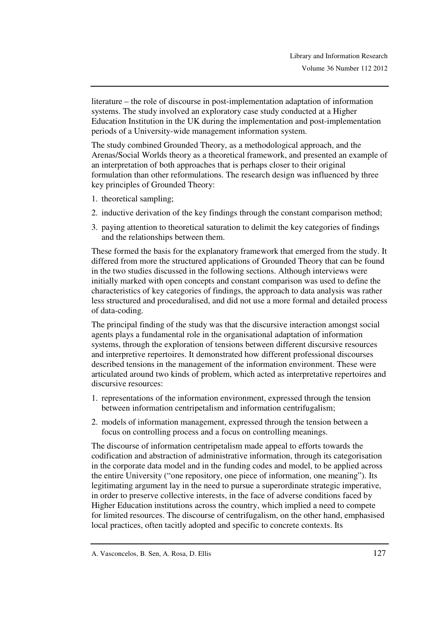literature – the role of discourse in post-implementation adaptation of information systems. The study involved an exploratory case study conducted at a Higher Education Institution in the UK during the implementation and post-implementation periods of a University-wide management information system.

The study combined Grounded Theory, as a methodological approach, and the Arenas/Social Worlds theory as a theoretical framework, and presented an example of an interpretation of both approaches that is perhaps closer to their original formulation than other reformulations. The research design was influenced by three key principles of Grounded Theory:

- 1. theoretical sampling;
- 2. inductive derivation of the key findings through the constant comparison method;
- 3. paying attention to theoretical saturation to delimit the key categories of findings and the relationships between them.

These formed the basis for the explanatory framework that emerged from the study. It differed from more the structured applications of Grounded Theory that can be found in the two studies discussed in the following sections. Although interviews were initially marked with open concepts and constant comparison was used to define the characteristics of key categories of findings, the approach to data analysis was rather less structured and proceduralised, and did not use a more formal and detailed process of data-coding.

The principal finding of the study was that the discursive interaction amongst social agents plays a fundamental role in the organisational adaptation of information systems, through the exploration of tensions between different discursive resources and interpretive repertoires. It demonstrated how different professional discourses described tensions in the management of the information environment. These were articulated around two kinds of problem, which acted as interpretative repertoires and discursive resources:

- 1. representations of the information environment, expressed through the tension between information centripetalism and information centrifugalism;
- 2. models of information management, expressed through the tension between a focus on controlling process and a focus on controlling meanings.

The discourse of information centripetalism made appeal to efforts towards the codification and abstraction of administrative information, through its categorisation in the corporate data model and in the funding codes and model, to be applied across the entire University ("one repository, one piece of information, one meaning"). Its legitimating argument lay in the need to pursue a superordinate strategic imperative, in order to preserve collective interests, in the face of adverse conditions faced by Higher Education institutions across the country, which implied a need to compete for limited resources. The discourse of centrifugalism, on the other hand, emphasised local practices, often tacitly adopted and specific to concrete contexts. Its

A. Vasconcelos, B. Sen, A. Rosa, D. Ellis 127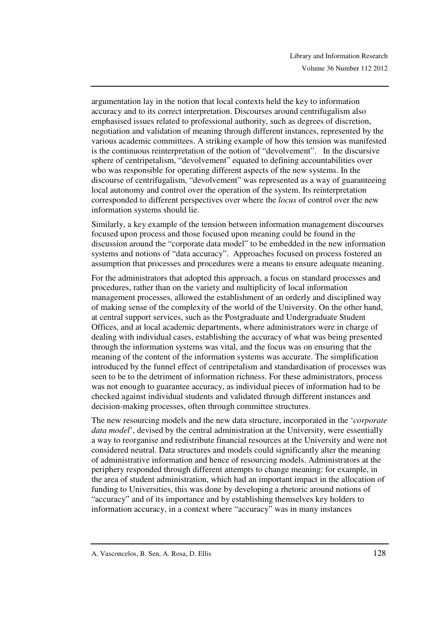argumentation lay in the notion that local contexts held the key to information accuracy and to its correct interpretation. Discourses around centrifugalism also emphasised issues related to professional authority, such as degrees of discretion, negotiation and validation of meaning through different instances, represented by the various academic committees. A striking example of how this tension was manifested is the continuous reinterpretation of the notion of "devolvement". In the discursive sphere of centripetalism, "devolvement" equated to defining accountabilities over who was responsible for operating different aspects of the new systems. In the discourse of centrifugalism, "devolvement" was represented as a way of guaranteeing local autonomy and control over the operation of the system. Its reinterpretation corresponded to different perspectives over where the *locus* of control over the new information systems should lie.

Similarly, a key example of the tension between information management discourses focused upon process and those focused upon meaning could be found in the discussion around the "corporate data model" to be embedded in the new information systems and notions of "data accuracy". Approaches focused on process fostered an assumption that processes and procedures were a means to ensure adequate meaning.

For the administrators that adopted this approach, a focus on standard processes and procedures, rather than on the variety and multiplicity of local information management processes, allowed the establishment of an orderly and disciplined way of making sense of the complexity of the world of the University. On the other hand, at central support services, such as the Postgraduate and Undergraduate Student Offices, and at local academic departments, where administrators were in charge of dealing with individual cases, establishing the accuracy of what was being presented through the information systems was vital, and the focus was on ensuring that the meaning of the content of the information systems was accurate. The simplification introduced by the funnel effect of centripetalism and standardisation of processes was seen to be to the detriment of information richness. For these administrators, process was not enough to guarantee accuracy, as individual pieces of information had to be checked against individual students and validated through different instances and decision-making processes, often through committee structures.

The new resourcing models and the new data structure, incorporated in the '*corporate data model*', devised by the central administration at the University, were essentially a way to reorganise and redistribute financial resources at the University and were not considered neutral. Data structures and models could significantly alter the meaning of administrative information and hence of resourcing models. Administrators at the periphery responded through different attempts to change meaning: for example, in the area of student administration, which had an important impact in the allocation of funding to Universities, this was done by developing a rhetoric around notions of "accuracy" and of its importance and by establishing themselves key holders to information accuracy, in a context where "accuracy" was in many instances

A. Vasconcelos, B. Sen, A. Rosa, D. Ellis 128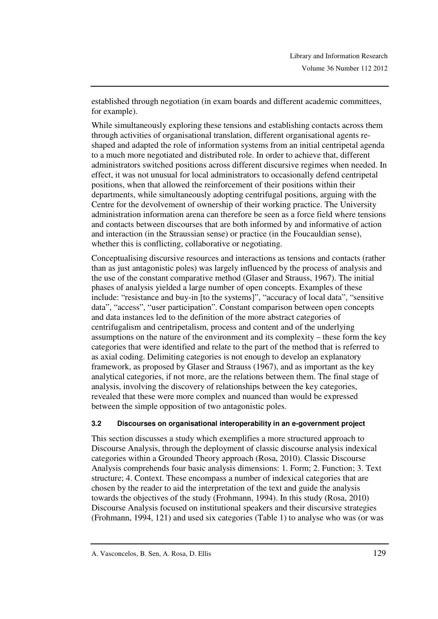established through negotiation (in exam boards and different academic committees, for example).

While simultaneously exploring these tensions and establishing contacts across them through activities of organisational translation, different organisational agents reshaped and adapted the role of information systems from an initial centripetal agenda to a much more negotiated and distributed role. In order to achieve that, different administrators switched positions across different discursive regimes when needed. In effect, it was not unusual for local administrators to occasionally defend centripetal positions, when that allowed the reinforcement of their positions within their departments, while simultaneously adopting centrifugal positions, arguing with the Centre for the devolvement of ownership of their working practice. The University administration information arena can therefore be seen as a force field where tensions and contacts between discourses that are both informed by and informative of action and interaction (in the Straussian sense) or practice (in the Foucauldian sense), whether this is conflicting, collaborative or negotiating.

Conceptualising discursive resources and interactions as tensions and contacts (rather than as just antagonistic poles) was largely influenced by the process of analysis and the use of the constant comparative method (Glaser and Strauss, 1967). The initial phases of analysis yielded a large number of open concepts. Examples of these include: "resistance and buy-in [to the systems]", "accuracy of local data", "sensitive data", "access", "user participation". Constant comparison between open concepts and data instances led to the definition of the more abstract categories of centrifugalism and centripetalism, process and content and of the underlying assumptions on the nature of the environment and its complexity – these form the key categories that were identified and relate to the part of the method that is referred to as axial coding. Delimiting categories is not enough to develop an explanatory framework, as proposed by Glaser and Strauss (1967), and as important as the key analytical categories, if not more, are the relations between them. The final stage of analysis, involving the discovery of relationships between the key categories, revealed that these were more complex and nuanced than would be expressed between the simple opposition of two antagonistic poles.

### **3.2 Discourses on organisational interoperability in an e-government project**

This section discusses a study which exemplifies a more structured approach to Discourse Analysis, through the deployment of classic discourse analysis indexical categories within a Grounded Theory approach (Rosa, 2010). Classic Discourse Analysis comprehends four basic analysis dimensions: 1. Form; 2. Function; 3. Text structure; 4. Context. These encompass a number of indexical categories that are chosen by the reader to aid the interpretation of the text and guide the analysis towards the objectives of the study (Frohmann, 1994). In this study (Rosa, 2010) Discourse Analysis focused on institutional speakers and their discursive strategies (Frohmann, 1994, 121) and used six categories (Table 1) to analyse who was (or was

A. Vasconcelos, B. Sen, A. Rosa, D. Ellis 129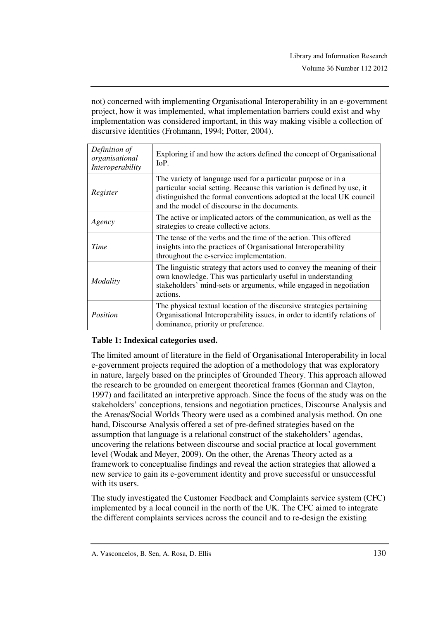not) concerned with implementing Organisational Interoperability in an e-government project, how it was implemented, what implementation barriers could exist and why implementation was considered important, in this way making visible a collection of discursive identities (Frohmann, 1994; Potter, 2004).

| Definition of<br>organisational<br>Interoperability | Exploring if and how the actors defined the concept of Organisational<br>IoP.                                                                                                                                                                                    |
|-----------------------------------------------------|------------------------------------------------------------------------------------------------------------------------------------------------------------------------------------------------------------------------------------------------------------------|
| Register                                            | The variety of language used for a particular purpose or in a<br>particular social setting. Because this variation is defined by use, it<br>distinguished the formal conventions adopted at the local UK council<br>and the model of discourse in the documents. |
| Agency                                              | The active or implicated actors of the communication, as well as the<br>strategies to create collective actors.                                                                                                                                                  |
| Time                                                | The tense of the verbs and the time of the action. This offered<br>insights into the practices of Organisational Interoperability<br>throughout the e-service implementation.                                                                                    |
| Modality                                            | The linguistic strategy that actors used to convey the meaning of their<br>own knowledge. This was particularly useful in understanding<br>stakeholders' mind-sets or arguments, while engaged in negotiation<br>actions.                                        |
| Position                                            | The physical textual location of the discursive strategies pertaining<br>Organisational Interoperability issues, in order to identify relations of<br>dominance, priority or preference.                                                                         |

## **Table 1: Indexical categories used.**

The limited amount of literature in the field of Organisational Interoperability in local e-government projects required the adoption of a methodology that was exploratory in nature, largely based on the principles of Grounded Theory. This approach allowed the research to be grounded on emergent theoretical frames (Gorman and Clayton, 1997) and facilitated an interpretive approach. Since the focus of the study was on the stakeholders' conceptions, tensions and negotiation practices, Discourse Analysis and the Arenas/Social Worlds Theory were used as a combined analysis method. On one hand, Discourse Analysis offered a set of pre-defined strategies based on the assumption that language is a relational construct of the stakeholders' agendas, uncovering the relations between discourse and social practice at local government level (Wodak and Meyer, 2009). On the other, the Arenas Theory acted as a framework to conceptualise findings and reveal the action strategies that allowed a new service to gain its e-government identity and prove successful or unsuccessful with its users.

The study investigated the Customer Feedback and Complaints service system (CFC) implemented by a local council in the north of the UK. The CFC aimed to integrate the different complaints services across the council and to re-design the existing

A. Vasconcelos, B. Sen, A. Rosa, D. Ellis 130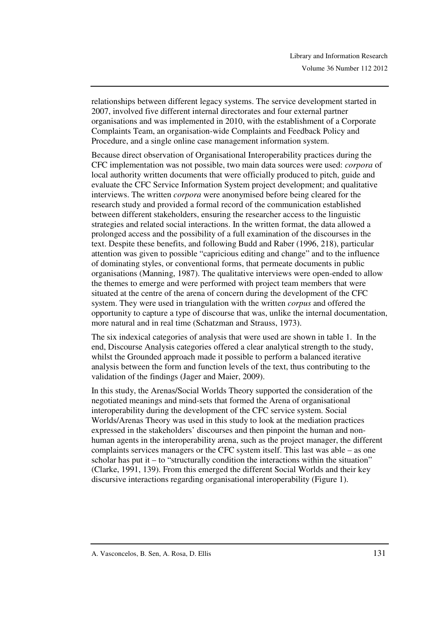relationships between different legacy systems. The service development started in 2007, involved five different internal directorates and four external partner organisations and was implemented in 2010, with the establishment of a Corporate Complaints Team, an organisation-wide Complaints and Feedback Policy and Procedure, and a single online case management information system.

Because direct observation of Organisational Interoperability practices during the CFC implementation was not possible, two main data sources were used: *corpora* of local authority written documents that were officially produced to pitch, guide and evaluate the CFC Service Information System project development; and qualitative interviews. The written *corpora* were anonymised before being cleared for the research study and provided a formal record of the communication established between different stakeholders, ensuring the researcher access to the linguistic strategies and related social interactions. In the written format, the data allowed a prolonged access and the possibility of a full examination of the discourses in the text. Despite these benefits, and following Budd and Raber (1996, 218), particular attention was given to possible "capricious editing and change" and to the influence of dominating styles, or conventional forms, that permeate documents in public organisations (Manning, 1987). The qualitative interviews were open-ended to allow the themes to emerge and were performed with project team members that were situated at the centre of the arena of concern during the development of the CFC system. They were used in triangulation with the written *corpus* and offered the opportunity to capture a type of discourse that was, unlike the internal documentation, more natural and in real time (Schatzman and Strauss, 1973).

The six indexical categories of analysis that were used are shown in table 1. In the end, Discourse Analysis categories offered a clear analytical strength to the study, whilst the Grounded approach made it possible to perform a balanced iterative analysis between the form and function levels of the text, thus contributing to the validation of the findings (Jager and Maier, 2009).

In this study, the Arenas/Social Worlds Theory supported the consideration of the negotiated meanings and mind-sets that formed the Arena of organisational interoperability during the development of the CFC service system. Social Worlds/Arenas Theory was used in this study to look at the mediation practices expressed in the stakeholders' discourses and then pinpoint the human and nonhuman agents in the interoperability arena, such as the project manager, the different complaints services managers or the CFC system itself. This last was able – as one scholar has put it  $-$  to "structurally condition the interactions within the situation" (Clarke, 1991, 139). From this emerged the different Social Worlds and their key discursive interactions regarding organisational interoperability (Figure 1).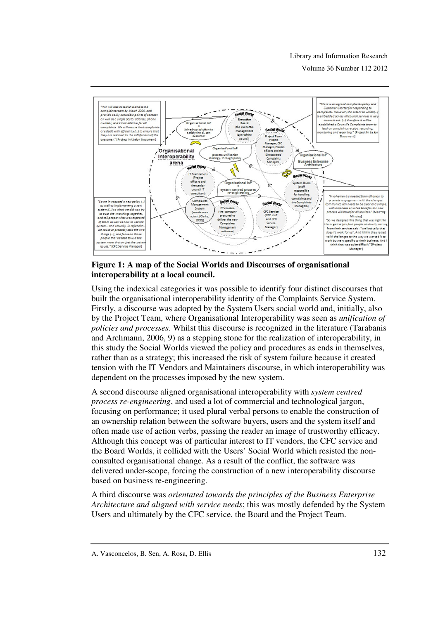#### Library and Information Research

Volume 36 Number 112 2012



**Figure 1: A map of the Social Worlds and Discourses of organisational interoperability at a local council.**

Using the indexical categories it was possible to identify four distinct discourses that built the organisational interoperability identity of the Complaints Service System. Firstly, a discourse was adopted by the System Users social world and, initially, also by the Project Team, where Organisational Interoperability was seen as *unification of policies and processes*. Whilst this discourse is recognized in the literature (Tarabanis and Archmann, 2006, 9) as a stepping stone for the realization of interoperability, in this study the Social Worlds viewed the policy and procedures as ends in themselves, rather than as a strategy; this increased the risk of system failure because it created tension with the IT Vendors and Maintainers discourse, in which interoperability was dependent on the processes imposed by the new system.

A second discourse aligned organisational interoperability with *system centred process re-engineering*, and used a lot of commercial and technological jargon, focusing on performance; it used plural verbal persons to enable the construction of an ownership relation between the software buyers, users and the system itself and often made use of action verbs, passing the reader an image of trustworthy efficacy. Although this concept was of particular interest to IT vendors, the CFC service and the Board Worlds, it collided with the Users' Social World which resisted the nonconsulted organisational change. As a result of the conflict, the software was delivered under-scope, forcing the construction of a new interoperability discourse based on business re-engineering.

A third discourse was *orientated towards the principles of the Business Enterprise Architecture and aligned with service needs*; this was mostly defended by the System Users and ultimately by the CFC service, the Board and the Project Team.

A. Vasconcelos, B. Sen, A. Rosa, D. Ellis 132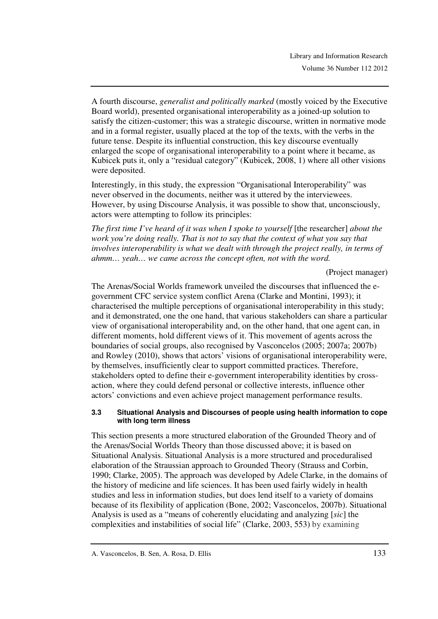A fourth discourse, *generalist and politically marked* (mostly voiced by the Executive Board world), presented organisational interoperability as a joined-up solution to satisfy the citizen-customer; this was a strategic discourse, written in normative mode and in a formal register, usually placed at the top of the texts, with the verbs in the future tense. Despite its influential construction, this key discourse eventually enlarged the scope of organisational interoperability to a point where it became, as Kubicek puts it, only a "residual category" (Kubicek, 2008, 1) where all other visions were deposited.

Interestingly, in this study, the expression "Organisational Interoperability" was never observed in the documents, neither was it uttered by the interviewees. However, by using Discourse Analysis, it was possible to show that, unconsciously, actors were attempting to follow its principles:

*The first time I've heard of it was when I spoke to yourself* [the researcher] *about the work you're doing really. That is not to say that the context of what you say that involves interoperability is what we dealt with through the project really, in terms of ahmm… yeah… we came across the concept often, not with the word.*

(Project manager)

The Arenas/Social Worlds framework unveiled the discourses that influenced the egovernment CFC service system conflict Arena (Clarke and Montini, 1993); it characterised the multiple perceptions of organisational interoperability in this study; and it demonstrated, one the one hand, that various stakeholders can share a particular view of organisational interoperability and, on the other hand, that one agent can, in different moments, hold different views of it. This movement of agents across the boundaries of social groups, also recognised by Vasconcelos (2005; 2007a; 2007b) and Rowley (2010), shows that actors' visions of organisational interoperability were, by themselves, insufficiently clear to support committed practices. Therefore, stakeholders opted to define their e-government interoperability identities by crossaction, where they could defend personal or collective interests, influence other actors' convictions and even achieve project management performance results.

#### **3.3 Situational Analysis and Discourses of people using health information to cope with long term illness**

This section presents a more structured elaboration of the Grounded Theory and of the Arenas/Social Worlds Theory than those discussed above; it is based on Situational Analysis. Situational Analysis is a more structured and proceduralised elaboration of the Straussian approach to Grounded Theory (Strauss and Corbin, 1990; Clarke, 2005). The approach was developed by Adele Clarke, in the domains of the history of medicine and life sciences. It has been used fairly widely in health studies and less in information studies, but does lend itself to a variety of domains because of its flexibility of application (Bone, 2002; Vasconcelos, 2007b). Situational Analysis is used as a "means of coherently elucidating and analyzing [*sic*] the complexities and instabilities of social life" (Clarke, 2003, 553) by examining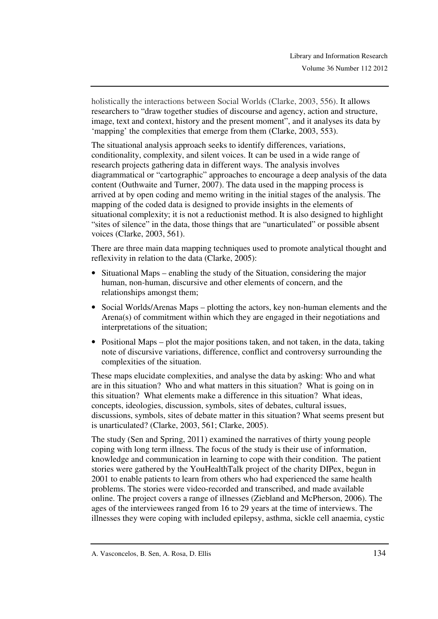holistically the interactions between Social Worlds (Clarke, 2003, 556). It allows researchers to "draw together studies of discourse and agency, action and structure, image, text and context, history and the present moment", and it analyses its data by 'mapping' the complexities that emerge from them (Clarke, 2003, 553).

The situational analysis approach seeks to identify differences, variations, conditionality, complexity, and silent voices. It can be used in a wide range of research projects gathering data in different ways. The analysis involves diagrammatical or "cartographic" approaches to encourage a deep analysis of the data content (Outhwaite and Turner, 2007). The data used in the mapping process is arrived at by open coding and memo writing in the initial stages of the analysis. The mapping of the coded data is designed to provide insights in the elements of situational complexity; it is not a reductionist method. It is also designed to highlight "sites of silence" in the data, those things that are "unarticulated" or possible absent voices (Clarke, 2003, 561).

There are three main data mapping techniques used to promote analytical thought and reflexivity in relation to the data (Clarke, 2005):

- Situational Maps enabling the study of the Situation, considering the major human, non-human, discursive and other elements of concern, and the relationships amongst them;
- Social Worlds/Arenas Maps plotting the actors, key non-human elements and the Arena(s) of commitment within which they are engaged in their negotiations and interpretations of the situation;
- Positional Maps plot the major positions taken, and not taken, in the data, taking note of discursive variations, difference, conflict and controversy surrounding the complexities of the situation.

These maps elucidate complexities, and analyse the data by asking: Who and what are in this situation? Who and what matters in this situation? What is going on in this situation? What elements make a difference in this situation? What ideas, concepts, ideologies, discussion, symbols, sites of debates, cultural issues, discussions, symbols, sites of debate matter in this situation? What seems present but is unarticulated? (Clarke, 2003, 561; Clarke, 2005).

The study (Sen and Spring, 2011) examined the narratives of thirty young people coping with long term illness. The focus of the study is their use of information, knowledge and communication in learning to cope with their condition. The patient stories were gathered by the YouHealthTalk project of the charity DIPex, begun in 2001 to enable patients to learn from others who had experienced the same health problems. The stories were video-recorded and transcribed, and made available online. The project covers a range of illnesses (Ziebland and McPherson, 2006). The ages of the interviewees ranged from 16 to 29 years at the time of interviews. The illnesses they were coping with included epilepsy, asthma, sickle cell anaemia, cystic

A. Vasconcelos, B. Sen, A. Rosa, D. Ellis 134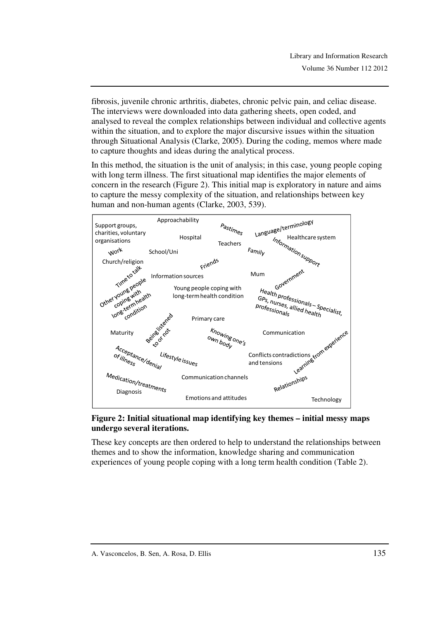fibrosis, juvenile chronic arthritis, diabetes, chronic pelvic pain, and celiac disease. The interviews were downloaded into data gathering sheets, open coded, and analysed to reveal the complex relationships between individual and collective agents within the situation, and to explore the major discursive issues within the situation through Situational Analysis (Clarke, 2005). During the coding, memos where made to capture thoughts and ideas during the analytical process.

In this method, the situation is the unit of analysis; in this case, young people coping with long term illness. The first situational map identifies the major elements of concern in the research (Figure 2). This initial map is exploratory in nature and aims to capture the messy complexity of the situation, and relationships between key human and non-human agents (Clarke, 2003, 539).



### **Figure 2: Initial situational map identifying key themes – initial messy maps undergo several iterations.**

These key concepts are then ordered to help to understand the relationships between themes and to show the information, knowledge sharing and communication experiences of young people coping with a long term health condition (Table 2).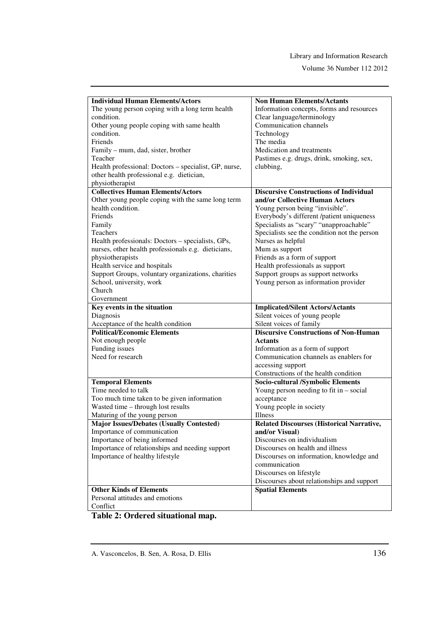Volume 36 Number 112 2012

| <b>Individual Human Elements/Actors</b>               | <b>Non Human Elements/Actants</b>                |
|-------------------------------------------------------|--------------------------------------------------|
| The young person coping with a long term health       | Information concepts, forms and resources        |
| condition.                                            | Clear language/terminology                       |
| Other young people coping with same health            | Communication channels                           |
| condition.                                            | Technology                                       |
| Friends                                               | The media                                        |
| Family – mum, dad, sister, brother                    | Medication and treatments                        |
| Teacher                                               | Pastimes e.g. drugs, drink, smoking, sex,        |
| Health professional: Doctors - specialist, GP, nurse, | clubbing,                                        |
| other health professional e.g. dietician,             |                                                  |
| physiotherapist                                       |                                                  |
| <b>Collectives Human Elements/Actors</b>              | <b>Discursive Constructions of Individual</b>    |
| Other young people coping with the same long term     | and/or Collective Human Actors                   |
| health condition.                                     | Young person being "invisible".                  |
| Friends                                               | Everybody's different /patient uniqueness        |
| Family                                                | Specialists as "scary" "unapproachable"          |
| Teachers                                              |                                                  |
|                                                       | Specialists see the condition not the person     |
| Health professionals: Doctors – specialists, GPs,     | Nurses as helpful                                |
| nurses, other health professionals e.g. dieticians,   | Mum as support                                   |
| physiotherapists                                      | Friends as a form of support                     |
| Health service and hospitals                          | Health professionals as support                  |
| Support Groups, voluntary organizations, charities    | Support groups as support networks               |
| School, university, work<br>Church                    | Young person as information provider             |
|                                                       |                                                  |
| Government                                            |                                                  |
|                                                       |                                                  |
| Key events in the situation                           | <b>Implicated/Silent Actors/Actants</b>          |
| Diagnosis                                             | Silent voices of young people                    |
| Acceptance of the health condition                    | Silent voices of family                          |
| <b>Political/Economic Elements</b>                    | <b>Discursive Constructions of Non-Human</b>     |
| Not enough people                                     | <b>Actants</b>                                   |
| Funding issues                                        | Information as a form of support                 |
| Need for research                                     | Communication channels as enablers for           |
|                                                       | accessing support                                |
|                                                       | Constructions of the health condition            |
| <b>Temporal Elements</b>                              | Socio-cultural /Symbolic Elements                |
| Time needed to talk                                   | Young person needing to fit in $-$ social        |
| Too much time taken to be given information           | acceptance                                       |
| Wasted time - through lost results                    | Young people in society                          |
| Maturing of the young person                          | <b>Illness</b>                                   |
| <b>Major Issues/Debates (Usually Contested)</b>       | <b>Related Discourses (Historical Narrative,</b> |
| Importance of communication                           | and/or Visual)                                   |
| Importance of being informed                          | Discourses on individualism                      |
| Importance of relationships and needing support       | Discourses on health and illness                 |
| Importance of healthy lifestyle                       | Discourses on information, knowledge and         |
|                                                       | communication                                    |
|                                                       | Discourses on lifestyle                          |
|                                                       | Discourses about relationships and support       |
| <b>Other Kinds of Elements</b>                        | <b>Spatial Elements</b>                          |
| Personal attitudes and emotions<br>Conflict           |                                                  |

**Table 2: Ordered situational map.** 

A. Vasconcelos, B. Sen, A. Rosa, D. Ellis 136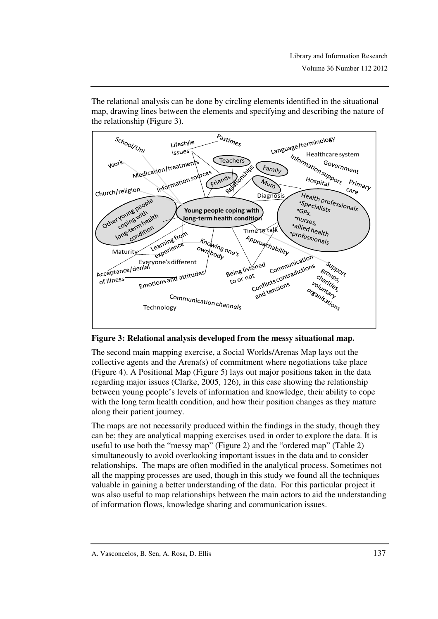The relational analysis can be done by circling elements identified in the situational map, drawing lines between the elements and specifying and describing the nature of the relationship (Figure 3).



**Figure 3: Relational analysis developed from the messy situational map.** 

The second main mapping exercise, a Social Worlds/Arenas Map lays out the collective agents and the Arena(s) of commitment where negotiations take place (Figure 4). A Positional Map (Figure 5) lays out major positions taken in the data regarding major issues (Clarke, 2005, 126), in this case showing the relationship between young people's levels of information and knowledge, their ability to cope with the long term health condition, and how their position changes as they mature along their patient journey.

The maps are not necessarily produced within the findings in the study, though they can be; they are analytical mapping exercises used in order to explore the data. It is useful to use both the "messy map" (Figure 2) and the "ordered map" (Table 2) simultaneously to avoid overlooking important issues in the data and to consider relationships. The maps are often modified in the analytical process. Sometimes not all the mapping processes are used, though in this study we found all the techniques valuable in gaining a better understanding of the data. For this particular project it was also useful to map relationships between the main actors to aid the understanding of information flows, knowledge sharing and communication issues.

A. Vasconcelos, B. Sen, A. Rosa, D. Ellis 137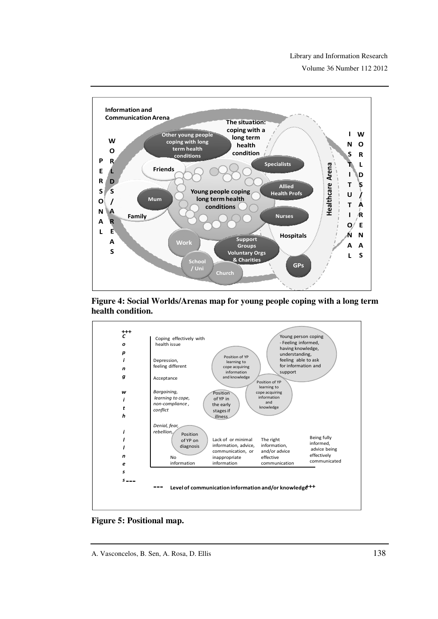





**Figure 5: Positional map.** 

A. Vasconcelos, B. Sen, A. Rosa, D. Ellis 138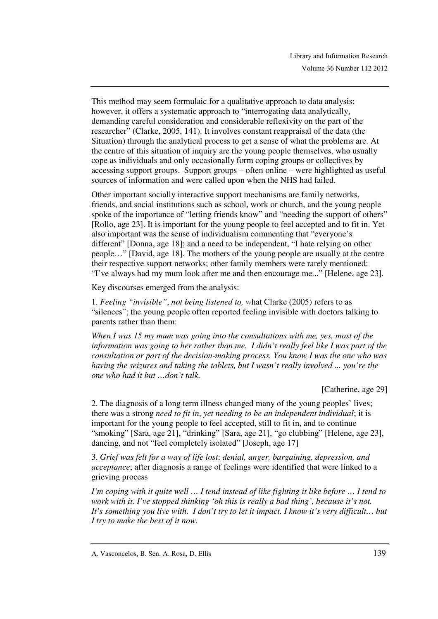This method may seem formulaic for a qualitative approach to data analysis; however, it offers a systematic approach to "interrogating data analytically, demanding careful consideration and considerable reflexivity on the part of the researcher" (Clarke, 2005, 141). It involves constant reappraisal of the data (the Situation) through the analytical process to get a sense of what the problems are. At the centre of this situation of inquiry are the young people themselves, who usually cope as individuals and only occasionally form coping groups or collectives by accessing support groups. Support groups – often online – were highlighted as useful sources of information and were called upon when the NHS had failed.

Other important socially interactive support mechanisms are family networks, friends, and social institutions such as school, work or church, and the young people spoke of the importance of "letting friends know" and "needing the support of others" [Rollo, age 23]. It is important for the young people to feel accepted and to fit in. Yet also important was the sense of individualism commenting that "everyone's different" [Donna, age 18]; and a need to be independent, "I hate relying on other people…" [David, age 18]. The mothers of the young people are usually at the centre their respective support networks; other family members were rarely mentioned: "I've always had my mum look after me and then encourage me..." [Helene, age 23].

Key discourses emerged from the analysis:

1. *Feeling "invisible"*, *not being listened to, w*hat Clarke (2005) refers to as "silences"; the young people often reported feeling invisible with doctors talking to parents rather than them:

*When I was 15 my mum was going into the consultations with me, yes, most of the information was going to her rather than me. I didn't really feel like I was part of the consultation or part of the decision-making process. You know I was the one who was having the seizures and taking the tablets, but I wasn't really involved ... you're the one who had it but …don't talk.* 

[Catherine, age 29]

2. The diagnosis of a long term illness changed many of the young peoples' lives; there was a strong *need to fit in*, *yet needing to be an independent individual*; it is important for the young people to feel accepted, still to fit in, and to continue "smoking" [Sara, age 21], "drinking" [Sara, age 21], "go clubbing" [Helene, age 23], dancing, and not "feel completely isolated" [Joseph, age 17]

3. *Grief was felt for a way of life lost*: *denial, anger, bargaining, depression, and acceptance*; after diagnosis a range of feelings were identified that were linked to a grieving process

*I'm coping with it quite well … I tend instead of like fighting it like before … I tend to work with it. I've stopped thinking 'oh this is really a bad thing', because it's not. It's something you live with. I don't try to let it impact. I know it's very difficult… but I try to make the best of it now.* 

A. Vasconcelos, B. Sen, A. Rosa, D. Ellis 139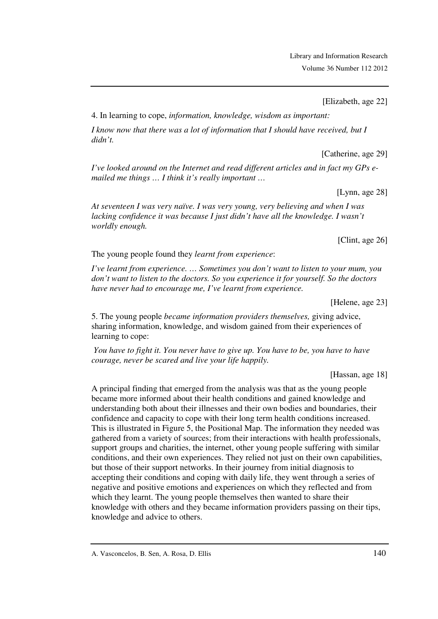[Elizabeth, age 22]

4. In learning to cope, *information, knowledge, wisdom as important:*

*I know now that there was a lot of information that I should have received, but I didn't.* 

[Catherine, age 29]

*I've looked around on the Internet and read different articles and in fact my GPs emailed me things … I think it's really important …* 

[Lynn, age 28]

*At seventeen I was very naïve. I was very young, very believing and when I was lacking confidence it was because I just didn't have all the knowledge. I wasn't worldly enough.* 

[Clint, age 26]

The young people found they *learnt from experience*:

*I've learnt from experience. … Sometimes you don't want to listen to your mum, you don't want to listen to the doctors. So you experience it for yourself. So the doctors have never had to encourage me, I've learnt from experience.* 

[Helene, age 23]

5. The young people *became information providers themselves,* giving advice, sharing information, knowledge, and wisdom gained from their experiences of learning to cope:

 *You have to fight it. You never have to give up. You have to be, you have to have courage, never be scared and live your life happily.* 

[Hassan, age 18]

A principal finding that emerged from the analysis was that as the young people became more informed about their health conditions and gained knowledge and understanding both about their illnesses and their own bodies and boundaries, their confidence and capacity to cope with their long term health conditions increased. This is illustrated in Figure 5, the Positional Map. The information they needed was gathered from a variety of sources; from their interactions with health professionals, support groups and charities, the internet, other young people suffering with similar conditions, and their own experiences. They relied not just on their own capabilities, but those of their support networks. In their journey from initial diagnosis to accepting their conditions and coping with daily life, they went through a series of negative and positive emotions and experiences on which they reflected and from which they learnt. The young people themselves then wanted to share their knowledge with others and they became information providers passing on their tips, knowledge and advice to others.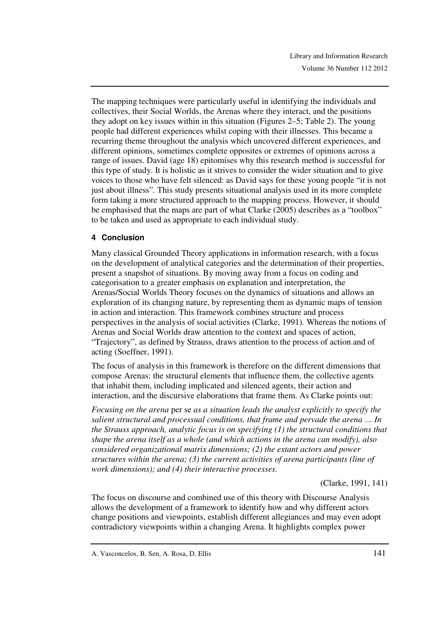The mapping techniques were particularly useful in identifying the individuals and collectives, their Social Worlds, the Arenas where they interact, and the positions they adopt on key issues within in this situation (Figures 2–5; Table 2). The young people had different experiences whilst coping with their illnesses. This became a recurring theme throughout the analysis which uncovered different experiences, and different opinions, sometimes complete opposites or extremes of opinions across a range of issues. David (age 18) epitomises why this research method is successful for this type of study. It is holistic as it strives to consider the wider situation and to give voices to those who have felt silenced: as David says for these young people "it is not just about illness"*.* This study presents situational analysis used in its more complete form taking a more structured approach to the mapping process. However, it should be emphasised that the maps are part of what Clarke (2005) describes as a "toolbox" to be taken and used as appropriate to each individual study.

## **4 Conclusion**

Many classical Grounded Theory applications in information research, with a focus on the development of analytical categories and the determination of their properties, present a snapshot of situations. By moving away from a focus on coding and categorisation to a greater emphasis on explanation and interpretation, the Arenas/Social Worlds Theory focuses on the dynamics of situations and allows an exploration of its changing nature, by representing them as dynamic maps of tension in action and interaction. This framework combines structure and process perspectives in the analysis of social activities (Clarke, 1991). Whereas the notions of Arenas and Social Worlds draw attention to the context and spaces of action, "Trajectory", as defined by Strauss, draws attention to the process of action and of acting (Soeffner, 1991).

The focus of analysis in this framework is therefore on the different dimensions that compose Arenas: the structural elements that influence them, the collective agents that inhabit them, including implicated and silenced agents, their action and interaction, and the discursive elaborations that frame them. As Clarke points out:

*Focusing on the arena* per se *as a situation leads the analyst explicitly to specify the salient structural and processual conditions, that frame and pervade the arena … In the Strauss approach, analytic focus is on specifying (1) the structural conditions that shape the arena itself as a whole (and which actions in the arena can modify), also considered organizational matrix dimensions; (2) the extant actors and power structures within the arena; (3) the current activities of arena participants (line of work dimensions); and (4) their interactive processes.* 

(Clarke, 1991, 141)

The focus on discourse and combined use of this theory with Discourse Analysis allows the development of a framework to identify how and why different actors change positions and viewpoints, establish different allegiances and may even adopt contradictory viewpoints within a changing Arena. It highlights complex power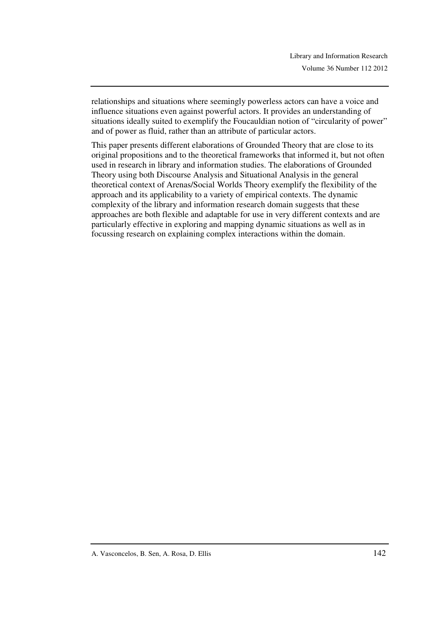relationships and situations where seemingly powerless actors can have a voice and influence situations even against powerful actors. It provides an understanding of situations ideally suited to exemplify the Foucauldian notion of "circularity of power" and of power as fluid, rather than an attribute of particular actors.

This paper presents different elaborations of Grounded Theory that are close to its original propositions and to the theoretical frameworks that informed it, but not often used in research in library and information studies. The elaborations of Grounded Theory using both Discourse Analysis and Situational Analysis in the general theoretical context of Arenas/Social Worlds Theory exemplify the flexibility of the approach and its applicability to a variety of empirical contexts. The dynamic complexity of the library and information research domain suggests that these approaches are both flexible and adaptable for use in very different contexts and are particularly effective in exploring and mapping dynamic situations as well as in focussing research on explaining complex interactions within the domain.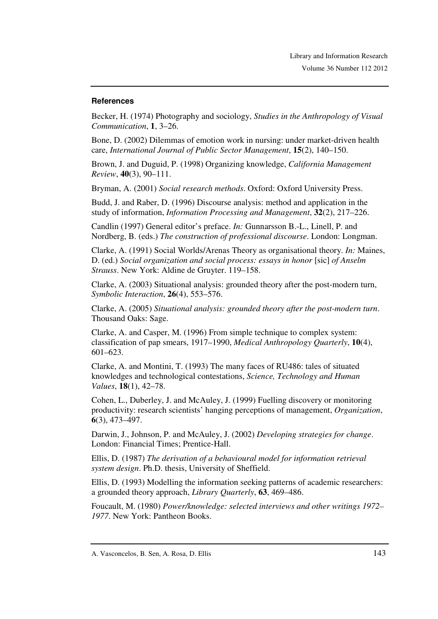#### **References**

Becker, H. (1974) Photography and sociology, *Studies in the Anthropology of Visual Communication*, **1**, 3–26.

Bone, D. (2002) Dilemmas of emotion work in nursing: under market-driven health care, *International Journal of Public Sector Management*, **15**(2), 140–150.

Brown, J. and Duguid, P. (1998) Organizing knowledge, *California Management Review*, **40**(3), 90–111.

Bryman, A. (2001) *Social research methods*. Oxford: Oxford University Press.

Budd, J. and Raber, D. (1996) Discourse analysis: method and application in the study of information, *Information Processing and Management*, **32**(2), 217–226.

Candlin (1997) General editor's preface. *In:* Gunnarsson B.-L., Linell, P. and Nordberg, B. (eds.) *The construction of professional discourse*. London: Longman.

Clarke, A. (1991) Social Worlds/Arenas Theory as organisational theory. *In:* Maines, D. (ed.) *Social organization and social process: essays in honor* [sic] *of Anselm Strauss*. New York: Aldine de Gruyter. 119–158.

Clarke, A. (2003) Situational analysis: grounded theory after the post-modern turn, *Symbolic Interaction*, **26**(4), 553–576.

Clarke, A. (2005) *Situational analysis: grounded theory after the post-modern turn*. Thousand Oaks: Sage.

Clarke, A. and Casper, M. (1996) From simple technique to complex system: classification of pap smears, 1917–1990, *Medical Anthropology Quarterly*, **10**(4), 601–623.

Clarke, A. and Montini, T. (1993) The many faces of RU486: tales of situated knowledges and technological contestations, *Science, Technology and Human Values*, **18**(1), 42–78.

Cohen, L., Duberley, J. and McAuley, J. (1999) Fuelling discovery or monitoring productivity: research scientists' hanging perceptions of management, *Organization*, **6**(3), 473–497.

Darwin, J., Johnson, P. and McAuley, J. (2002) *Developing strategies for change*. London: Financial Times; Prentice-Hall.

Ellis, D. (1987) *The derivation of a behavioural model for information retrieval system design*. Ph.D. thesis, University of Sheffield.

Ellis, D. (1993) Modelling the information seeking patterns of academic researchers: a grounded theory approach, *Library Quarterly*, **63**, 469–486.

Foucault, M. (1980) *Power/knowledge: selected interviews and other writings 1972– 1977*. New York: Pantheon Books.

A. Vasconcelos, B. Sen, A. Rosa, D. Ellis 143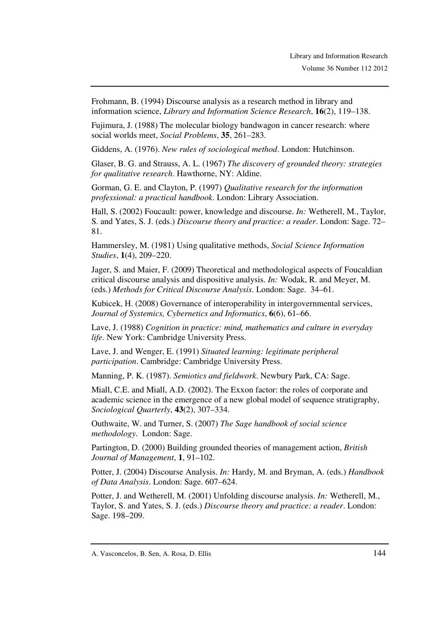Frohmann, B. (1994) Discourse analysis as a research method in library and information science, *Library and Information Science Research*, **16**(2), 119–138.

Fujimura, J. (1988) The molecular biology bandwagon in cancer research: where social worlds meet, *Social Problems*, **35**, 261–283.

Giddens, A. (1976). *New rules of sociological method*. London: Hutchinson.

Glaser, B. G. and Strauss, A. L. (1967) *The discovery of grounded theory: strategies for qualitative research*. Hawthorne, NY: Aldine.

Gorman, G. E. and Clayton, P. (1997) *Qualitative research for the information professional: a practical handbook*. London: Library Association.

Hall, S. (2002) Foucault: power, knowledge and discourse. *In:* Wetherell, M., Taylor, S. and Yates, S. J. (eds.) *Discourse theory and practice: a reader*. London: Sage. 72– 81.

Hammersley, M. (1981) Using qualitative methods, *Social Science Information Studies*, **1**(4), 209–220.

Jager, S. and Maier, F. (2009) Theoretical and methodological aspects of Foucaldian critical discourse analysis and dispositive analysis. *In:* Wodak, R. and Meyer, M. (eds.) *Methods for Critical Discourse Analysis*. London: Sage. 34–61.

Kubicek, H. (2008) Governance of interoperability in intergovernmental services, *Journal of Systemics, Cybernetics and Informatics*, **6**(6), 61–66.

Lave, J. (1988) *Cognition in practice: mind, mathematics and culture in everyday life*. New York: Cambridge University Press.

Lave, J. and Wenger, E. (1991) *Situated learning: legitimate peripheral participation*. Cambridge: Cambridge University Press.

Manning, P. K. (1987). *Semiotics and fieldwork*. Newbury Park, CA: Sage.

Miall, C.E. and Miall, A.D. (2002). The Exxon factor: the roles of corporate and academic science in the emergence of a new global model of sequence stratigraphy, *Sociological Quarterly*, **43**(2), 307–334.

Outhwaite, W. and Turner, S. (2007) *The Sage handbook of social science methodology*. London: Sage.

Partington, D. (2000) Building grounded theories of management action, *British Journal of Management*, **1**, 91–102.

Potter, J. (2004) Discourse Analysis. *In:* Hardy, M. and Bryman, A. (eds.) *Handbook of Data Analysis*. London: Sage. 607–624.

Potter, J. and Wetherell, M. (2001) Unfolding discourse analysis. *In:* Wetherell, M., Taylor, S. and Yates, S. J. (eds.) *Discourse theory and practice: a reader*. London: Sage. 198–209.

A. Vasconcelos, B. Sen, A. Rosa, D. Ellis 144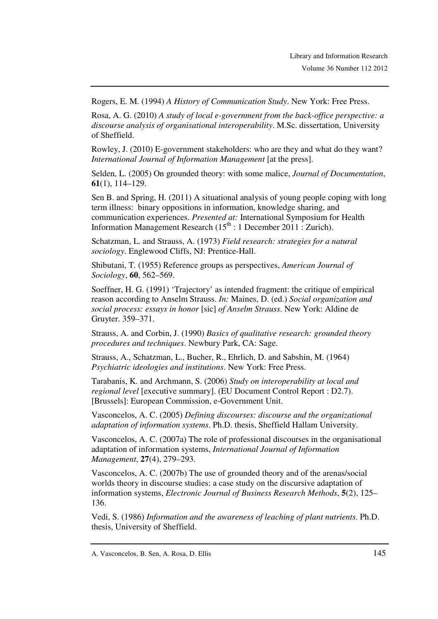Rogers, E. M. (1994) *A History of Communication Study*. New York: Free Press.

Rosa, A. G. (2010) *A study of local e-government from the back-office perspective: a discourse analysis of organisational interoperability*. M.Sc. dissertation, University of Sheffield.

Rowley, J. (2010) E-government stakeholders: who are they and what do they want? *International Journal of Information Management* [at the press].

Selden, L. (2005) On grounded theory: with some malice, *Journal of Documentation*, **61**(1), 114–129.

Sen B. and Spring, H. (2011) A situational analysis of young people coping with long term illness: binary oppositions in information, knowledge sharing, and communication experiences. *Presented at:* International Symposium for Health Information Management Research  $(15<sup>th</sup> : 1$  December 2011 : Zurich).

Schatzman, L. and Strauss, A. (1973) *Field research: strategies for a natural sociology*. Englewood Cliffs, NJ: Prentice-Hall.

Shibutani, T. (1955) Reference groups as perspectives, *American Journal of Sociology*, **60**, 562–569.

Soeffner, H. G. (1991) 'Trajectory' as intended fragment: the critique of empirical reason according to Anselm Strauss. *In:* Maines, D. (ed.) *Social organization and social process: essays in honor* [sic] *of Anselm Strauss*. New York: Aldine de Gruyter. 359–371.

Strauss, A. and Corbin, J. (1990) *Basics of qualitative research: grounded theory procedures and techniques*. Newbury Park, CA: Sage.

Strauss, A., Schatzman, L., Bucher, R., Ehrlich, D. and Sabshin, M. (1964) *Psychiatric ideologies and institutions*. New York: Free Press.

Tarabanis, K. and Archmann, S. (2006) *Study on interoperability at local and regional level* [executive summary]. (EU Document Control Report : D2.7). [Brussels]: European Commission, e-Government Unit.

Vasconcelos, A. C. (2005) *Defining discourses: discourse and the organizational adaptation of information systems*. Ph.D. thesis, Sheffield Hallam University.

Vasconcelos, A. C. (2007a) The role of professional discourses in the organisational adaptation of information systems, *International Journal of Information Management*, **27**(4), 279–293.

Vasconcelos, A. C. (2007b) The use of grounded theory and of the arenas/social worlds theory in discourse studies: a case study on the discursive adaptation of information systems, *Electronic Journal of Business Research Methods*, **5**(2), 125– 136.

Vedi, S. (1986) *Information and the awareness of leaching of plant nutrients*. Ph.D. thesis, University of Sheffield.

A. Vasconcelos, B. Sen, A. Rosa, D. Ellis 145